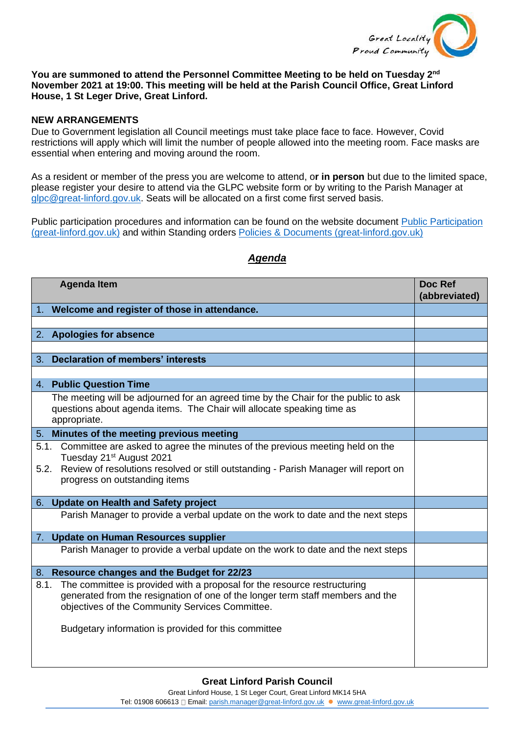

## **You are summoned to attend the Personnel Committee Meeting to be held on Tuesday 2nd November 2021 at 19:00. This meeting will be held at the Parish Council Office, Great Linford House, 1 St Leger Drive, Great Linford.**

## **NEW ARRANGEMENTS**

Due to Government legislation all Council meetings must take place face to face. However, Covid restrictions will apply which will limit the number of people allowed into the meeting room. Face masks are essential when entering and moving around the room.

As a resident or member of the press you are welcome to attend, o**r in person** but due to the limited space, please register your desire to attend via the GLPC website form or by writing to the Parish Manager at [glpc@great-linford.gov.uk.](mailto:glpc@great-linford.gov.uk) Seats will be allocated on a first come first served basis.

Public participation procedures and information can be found on the website document [Public Participation](https://www.great-linford.gov.uk/council-meetings/public-participation/)  [\(great-linford.gov.uk\)](https://www.great-linford.gov.uk/council-meetings/public-participation/) and within Standing orders [Policies & Documents \(great-linford.gov.uk\)](https://www.great-linford.gov.uk/the-parish-council/policies-documents/)

| <b>Agenda Item</b>                                                                                                                                                                                                                                                            | Doc Ref<br>(abbreviated) |
|-------------------------------------------------------------------------------------------------------------------------------------------------------------------------------------------------------------------------------------------------------------------------------|--------------------------|
| 1. Welcome and register of those in attendance.                                                                                                                                                                                                                               |                          |
|                                                                                                                                                                                                                                                                               |                          |
| <b>Apologies for absence</b><br>2.                                                                                                                                                                                                                                            |                          |
|                                                                                                                                                                                                                                                                               |                          |
| <b>Declaration of members' interests</b><br>3.                                                                                                                                                                                                                                |                          |
|                                                                                                                                                                                                                                                                               |                          |
| 4. Public Question Time                                                                                                                                                                                                                                                       |                          |
| The meeting will be adjourned for an agreed time by the Chair for the public to ask<br>questions about agenda items. The Chair will allocate speaking time as<br>appropriate.                                                                                                 |                          |
| 5. Minutes of the meeting previous meeting                                                                                                                                                                                                                                    |                          |
| Committee are asked to agree the minutes of the previous meeting held on the<br>5.1.<br>Tuesday 21 <sup>st</sup> August 2021<br>Review of resolutions resolved or still outstanding - Parish Manager will report on<br>5.2.<br>progress on outstanding items                  |                          |
| 6. Update on Health and Safety project                                                                                                                                                                                                                                        |                          |
| Parish Manager to provide a verbal update on the work to date and the next steps                                                                                                                                                                                              |                          |
| 7. Update on Human Resources supplier                                                                                                                                                                                                                                         |                          |
| Parish Manager to provide a verbal update on the work to date and the next steps                                                                                                                                                                                              |                          |
| 8. Resource changes and the Budget for 22/23                                                                                                                                                                                                                                  |                          |
| The committee is provided with a proposal for the resource restructuring<br>8.1.<br>generated from the resignation of one of the longer term staff members and the<br>objectives of the Community Services Committee.<br>Budgetary information is provided for this committee |                          |
|                                                                                                                                                                                                                                                                               |                          |

## *Agenda*